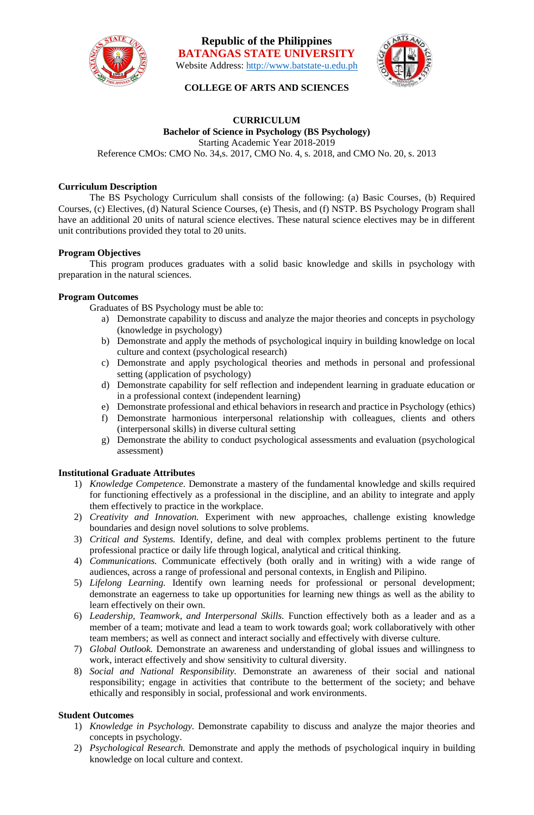

**Republic of the Philippines BATANGAS STATE UNIVERSITY** Website Address: [http://www.batstate-u.edu.ph](http://www.batstate-u.edu.ph/)



# **COLLEGE OF ARTS AND SCIENCES**

#### **CURRICULUM Bachelor of Science in Psychology (BS Psychology)**  Starting Academic Year 2018-2019 Reference CMOs: CMO No. 34,s. 2017, CMO No. 4, s. 2018, and CMO No. 20, s. 2013

### **Curriculum Description**

The BS Psychology Curriculum shall consists of the following: (a) Basic Courses, (b) Required Courses, (c) Electives, (d) Natural Science Courses, (e) Thesis, and (f) NSTP. BS Psychology Program shall have an additional 20 units of natural science electives. These natural science electives may be in different unit contributions provided they total to 20 units.

#### **Program Objectives**

This program produces graduates with a solid basic knowledge and skills in psychology with preparation in the natural sciences.

#### **Program Outcomes**

Graduates of BS Psychology must be able to:

- a) Demonstrate capability to discuss and analyze the major theories and concepts in psychology (knowledge in psychology)
- b) Demonstrate and apply the methods of psychological inquiry in building knowledge on local culture and context (psychological research)
- c) Demonstrate and apply psychological theories and methods in personal and professional setting (application of psychology)
- d) Demonstrate capability for self reflection and independent learning in graduate education or in a professional context (independent learning)
- e) Demonstrate professional and ethical behaviors in research and practice in Psychology (ethics)
- f) Demonstrate harmonious interpersonal relationship with colleagues, clients and others (interpersonal skills) in diverse cultural setting
- g) Demonstrate the ability to conduct psychological assessments and evaluation (psychological assessment)

#### **Institutional Graduate Attributes**

- 1) *Knowledge Competence.* Demonstrate a mastery of the fundamental knowledge and skills required for functioning effectively as a professional in the discipline, and an ability to integrate and apply them effectively to practice in the workplace.
- 2) *Creativity and Innovation.* Experiment with new approaches, challenge existing knowledge boundaries and design novel solutions to solve problems.
- 3) *Critical and Systems.* Identify, define, and deal with complex problems pertinent to the future professional practice or daily life through logical, analytical and critical thinking.
- 4) *Communications.* Communicate effectively (both orally and in writing) with a wide range of audiences, across a range of professional and personal contexts, in English and Pilipino.
- 5) *Lifelong Learning.* Identify own learning needs for professional or personal development; demonstrate an eagerness to take up opportunities for learning new things as well as the ability to learn effectively on their own.
- 6) *Leadership, Teamwork, and Interpersonal Skills.* Function effectively both as a leader and as a member of a team; motivate and lead a team to work towards goal; work collaboratively with other team members; as well as connect and interact socially and effectively with diverse culture.
- 7) *Global Outlook.* Demonstrate an awareness and understanding of global issues and willingness to work, interact effectively and show sensitivity to cultural diversity.
- 8) *Social and National Responsibility.* Demonstrate an awareness of their social and national responsibility; engage in activities that contribute to the betterment of the society; and behave ethically and responsibly in social, professional and work environments.

## **Student Outcomes**

- 1) *Knowledge in Psychology.* Demonstrate capability to discuss and analyze the major theories and concepts in psychology.
- 2) *Psychological Research.* Demonstrate and apply the methods of psychological inquiry in building knowledge on local culture and context.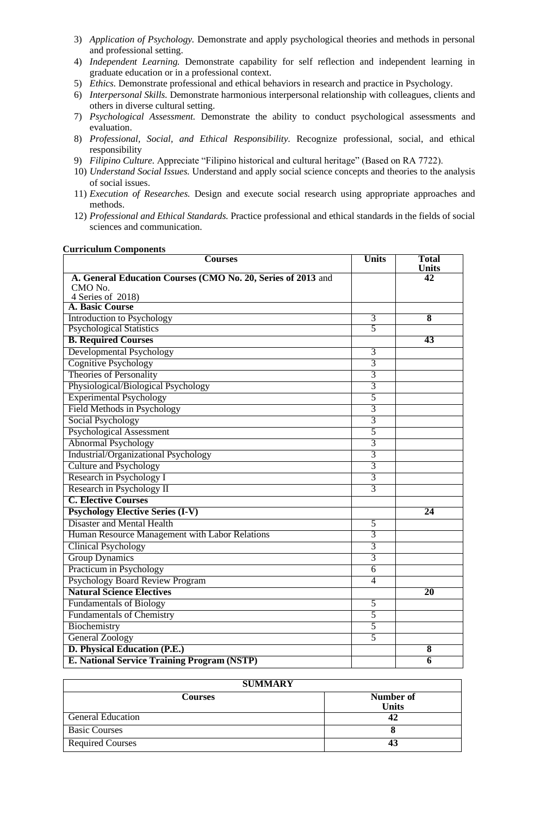- 3) *Application of Psychology.* Demonstrate and apply psychological theories and methods in personal and professional setting.
- 4) *Independent Learning.* Demonstrate capability for self reflection and independent learning in graduate education or in a professional context.
- 5) *Ethics.* Demonstrate professional and ethical behaviors in research and practice in Psychology.
- 6) *Interpersonal Skills.* Demonstrate harmonious interpersonal relationship with colleagues, clients and others in diverse cultural setting.
- 7) *Psychological Assessment.* Demonstrate the ability to conduct psychological assessments and evaluation.
- 8) *Professional, Social, and Ethical Responsibility.* Recognize professional, social, and ethical responsibility
- 9) *Filipino Culture.* Appreciate "Filipino historical and cultural heritage" (Based on RA 7722).
- 10) *Understand Social Issues.* Understand and apply social science concepts and theories to the analysis of social issues.
- 11) *Execution of Researches.* Design and execute social research using appropriate approaches and methods.
- 12) *Professional and Ethical Standards.* Practice professional and ethical standards in the fields of social sciences and communication.

#### **Curriculum Components**

| <b>Courses</b>                                               | <b>Units</b>   | <b>Total</b><br><b>Units</b> |
|--------------------------------------------------------------|----------------|------------------------------|
| A. General Education Courses (CMO No. 20, Series of 2013 and |                | 42                           |
| CMO No.                                                      |                |                              |
| 4 Series of 2018)                                            |                |                              |
| <b>A. Basic Course</b>                                       |                |                              |
| <b>Introduction to Psychology</b>                            | 3              | $\overline{\mathbf{8}}$      |
| <b>Psychological Statistics</b>                              | 5              |                              |
| <b>B. Required Courses</b>                                   |                | 43                           |
| <b>Developmental Psychology</b>                              | 3              |                              |
| <b>Cognitive Psychology</b>                                  | $\overline{3}$ |                              |
| <b>Theories of Personality</b>                               | $\overline{3}$ |                              |
| Physiological/Biological Psychology                          | 3              |                              |
| <b>Experimental Psychology</b>                               | 5              |                              |
| Field Methods in Psychology                                  | 3              |                              |
| <b>Social Psychology</b>                                     | $\overline{3}$ |                              |
| <b>Psychological Assessment</b>                              | 5              |                              |
| <b>Abnormal Psychology</b>                                   | 3              |                              |
| Industrial/Organizational Psychology                         | 3              |                              |
| <b>Culture and Psychology</b>                                | 3              |                              |
| Research in Psychology I                                     | 3              |                              |
| Research in Psychology II                                    | 3              |                              |
| <b>C. Elective Courses</b>                                   |                |                              |
| <b>Psychology Elective Series (I-V)</b>                      |                | $\overline{24}$              |
| <b>Disaster and Mental Health</b>                            | 5              |                              |
| Human Resource Management with Labor Relations               | 3              |                              |
| <b>Clinical Psychology</b>                                   | 3              |                              |
| <b>Group Dynamics</b>                                        | 3              |                              |
| Practicum in Psychology                                      | $\overline{6}$ |                              |
| <b>Psychology Board Review Program</b>                       | 4              |                              |
| <b>Natural Science Electives</b>                             |                | $\overline{20}$              |
| <b>Fundamentals of Biology</b>                               | 5              |                              |
| <b>Fundamentals of Chemistry</b>                             | 5              |                              |
| Biochemistry                                                 | 5              |                              |
| <b>General Zoology</b>                                       | 5              |                              |
| D. Physical Education (P.E.)                                 |                | $\overline{\bf 8}$           |
| <b>E. National Service Training Program (NSTP)</b>           |                | $\overline{\bf{6}}$          |

| <b>SUMMARY</b>           |              |  |  |  |  |  |
|--------------------------|--------------|--|--|--|--|--|
| <b>Courses</b>           | Number of    |  |  |  |  |  |
|                          | <b>Units</b> |  |  |  |  |  |
| <b>General Education</b> | 42           |  |  |  |  |  |
| <b>Basic Courses</b>     |              |  |  |  |  |  |
| <b>Required Courses</b>  |              |  |  |  |  |  |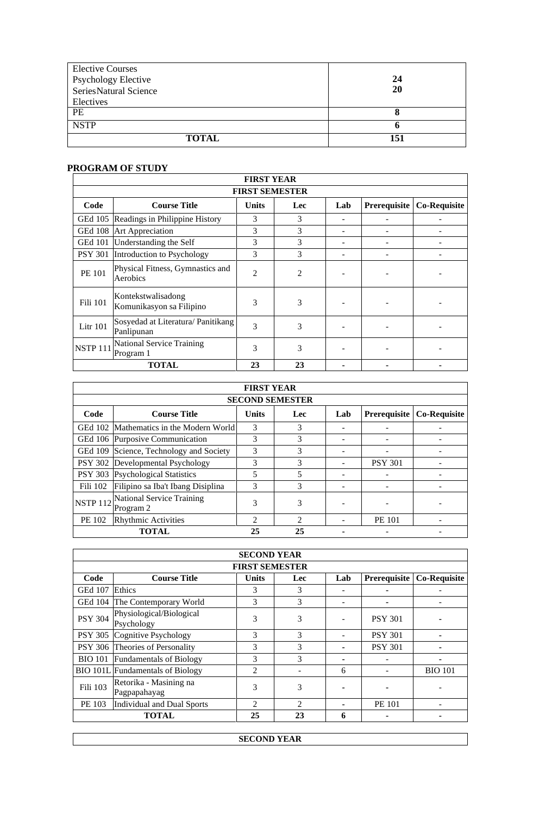| <b>Elective Courses</b>    |     |
|----------------------------|-----|
| <b>Psychology Elective</b> | 24  |
| SeriesNatural Science      | 20  |
| Electives                  |     |
| PE                         |     |
| <b>NSTP</b>                |     |
| <b>TOTAL</b>               | 151 |

# **PROGRAM OF STUDY**

| <b>FIRST YEAR</b>     |                                                  |                |                |     |              |                     |  |  |
|-----------------------|--------------------------------------------------|----------------|----------------|-----|--------------|---------------------|--|--|
| <b>FIRST SEMESTER</b> |                                                  |                |                |     |              |                     |  |  |
| Code                  | <b>Course Title</b>                              | <b>Units</b>   | Lec            | Lab | Prerequisite | <b>Co-Requisite</b> |  |  |
| GEd 105               | Readings in Philippine History                   | 3              | 3              |     |              |                     |  |  |
| <b>GEd 108</b>        | Art Appreciation                                 | 3              | 3              |     |              |                     |  |  |
| <b>GEd 101</b>        | Understanding the Self                           | 3              | 3              |     |              |                     |  |  |
| <b>PSY 301</b>        | Introduction to Psychology                       | 3              | 3              |     |              |                     |  |  |
| PE 101                | Physical Fitness, Gymnastics and<br>Aerobics     | $\overline{2}$ | $\overline{c}$ |     |              |                     |  |  |
| Fili 101              | Kontekstwalisadong<br>Komunikasyon sa Filipino   | 3              | 3              |     |              |                     |  |  |
| Litr $101$            | Sosyedad at Literatura/ Panitikang<br>Panlipunan | 3              | 3              |     |              |                     |  |  |
| <b>NSTP 111</b>       | National Service Training<br>Program 1           | 3              | 3              |     |              |                     |  |  |
|                       | <b>TOTAL</b>                                     | 23             | 23             |     |              |                     |  |  |

| <b>FIRST YEAR</b> |                                               |                |               |     |                     |                     |  |  |  |
|-------------------|-----------------------------------------------|----------------|---------------|-----|---------------------|---------------------|--|--|--|
|                   | <b>SECOND SEMESTER</b>                        |                |               |     |                     |                     |  |  |  |
| Code              | <b>Course Title</b>                           | <b>Units</b>   | Lec           | Lab | <b>Prerequisite</b> | <b>Co-Requisite</b> |  |  |  |
|                   | GEd 102 Mathematics in the Modern World       | 3              | 3             |     |                     |                     |  |  |  |
|                   | GEd 106 Purposive Communication               | 3              | 3             |     |                     |                     |  |  |  |
| <b>GEd 109</b>    | Science, Technology and Society               | 3              | 3             |     |                     |                     |  |  |  |
| <b>PSY 302</b>    | Developmental Psychology                      | 3              | 3             |     | <b>PSY 301</b>      |                     |  |  |  |
|                   | PSY 303 Psychological Statistics              | 5              | 5             |     |                     |                     |  |  |  |
| Fili 102          | Filipino sa Iba't Ibang Disiplina             | 3              | 3             |     |                     |                     |  |  |  |
| <b>NSTP 112</b>   | <b>National Service Training</b><br>Program 2 | 3              | 3             |     |                     |                     |  |  |  |
| PE 102            | <b>Rhythmic Activities</b>                    | $\overline{c}$ | $\mathcal{D}$ |     | <b>PE 101</b>       |                     |  |  |  |
|                   | <b>TOTAL</b>                                  | 25             | 25            |     |                     |                     |  |  |  |

| <b>SECOND YEAR</b>    |                                         |                |                             |     |                |                     |  |  |
|-----------------------|-----------------------------------------|----------------|-----------------------------|-----|----------------|---------------------|--|--|
| <b>FIRST SEMESTER</b> |                                         |                |                             |     |                |                     |  |  |
| Code                  | <b>Course Title</b>                     | Units          | Lec                         | Lab | Prerequisite   | <b>Co-Requisite</b> |  |  |
| <b>GEd 107</b>        | Ethics                                  | 3              | 3                           |     |                |                     |  |  |
| <b>GEd 104</b>        | The Contemporary World                  | 3              | 3                           |     |                |                     |  |  |
| <b>PSY 304</b>        | Physiological/Biological<br>Psychology  | 3              | 3                           |     | <b>PSY 301</b> |                     |  |  |
| <b>PSY 305</b>        | Cognitive Psychology                    | 3              | $\mathcal{R}$               |     | <b>PSY 301</b> |                     |  |  |
|                       | PSY 306 Theories of Personality         | 3              | 3                           |     | <b>PSY 301</b> |                     |  |  |
| <b>BIO 101</b>        | <b>Fundamentals of Biology</b>          | 3              | 3                           |     |                |                     |  |  |
|                       | <b>BIO 101L</b> Fundamentals of Biology | 2              |                             | 6   |                | <b>BIO 101</b>      |  |  |
| Fili 103              | Retorika - Masining na<br>Pagpapahayag  | 3              | 3                           |     |                |                     |  |  |
| PE 103                | Individual and Dual Sports              | $\mathfrak{D}$ | $\mathcal{D}_{\mathcal{L}}$ |     | PE 101         |                     |  |  |
|                       | <b>TOTAL</b>                            | 25             | 23                          | 6   |                |                     |  |  |

**SECOND YEAR**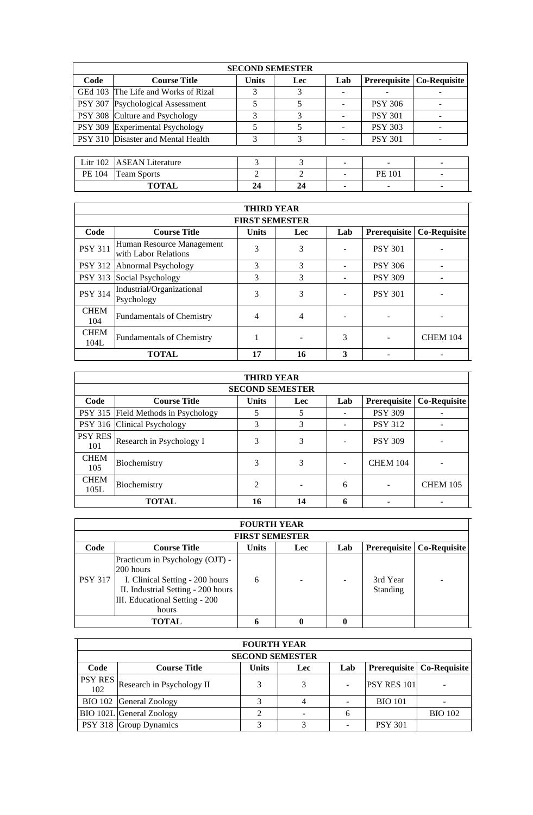| <b>SECOND SEMESTER</b> |                                     |              |                |                |                     |                     |  |  |
|------------------------|-------------------------------------|--------------|----------------|----------------|---------------------|---------------------|--|--|
| Code                   | <b>Course Title</b>                 | <b>Units</b> | <b>Lec</b>     | Lab            | <b>Prerequisite</b> | <b>Co-Requisite</b> |  |  |
|                        | GEd 103 The Life and Works of Rizal | 3            | 3              |                |                     |                     |  |  |
|                        | PSY 307 Psychological Assessment    | 5            | 5              |                | <b>PSY 306</b>      |                     |  |  |
|                        | PSY 308 Culture and Psychology      | 3            | 3              |                | <b>PSY 301</b>      |                     |  |  |
|                        | PSY 309 Experimental Psychology     | 5            | 5              | $\blacksquare$ | <b>PSY 303</b>      |                     |  |  |
|                        | PSY 310 Disaster and Mental Health  | 3            | 3              |                | <b>PSY 301</b>      |                     |  |  |
|                        |                                     |              |                |                |                     |                     |  |  |
| Litr $102$             | <b>ASEAN</b> Literature             | 3            | 3              |                |                     |                     |  |  |
| PE 104                 | <b>Team Sports</b>                  | 2            | $\mathfrak{D}$ |                | <b>PE 101</b>       |                     |  |  |
|                        | <b>TOTAL</b>                        | 24           | 24             | ٠              |                     |                     |  |  |
|                        |                                     |              |                |                |                     |                     |  |  |

| <b>THIRD YEAR</b>   |                                                   |              |     |     |                |                     |  |  |  |
|---------------------|---------------------------------------------------|--------------|-----|-----|----------------|---------------------|--|--|--|
|                     | <b>FIRST SEMESTER</b>                             |              |     |     |                |                     |  |  |  |
| Code                | <b>Course Title</b>                               | <b>Units</b> | Lec | Lab | Prerequisite   | <b>Co-Requisite</b> |  |  |  |
| <b>PSY 311</b>      | Human Resource Management<br>with Labor Relations | 3            | 3   |     | <b>PSY 301</b> |                     |  |  |  |
|                     | PSY 312 Abnormal Psychology                       | 3            | 3   |     | <b>PSY 306</b> |                     |  |  |  |
| <b>PSY 313</b>      | Social Psychology                                 | 3            | 3   |     | <b>PSY 309</b> |                     |  |  |  |
| <b>PSY 314</b>      | Industrial/Organizational<br>Psychology           | 3            | 3   |     | <b>PSY 301</b> |                     |  |  |  |
| <b>CHEM</b><br>104  | <b>Fundamentals of Chemistry</b>                  | 4            | 4   |     |                |                     |  |  |  |
| <b>CHEM</b><br>104L | <b>Fundamentals of Chemistry</b>                  |              |     | 3   |                | <b>CHEM 104</b>     |  |  |  |
|                     | <b>TOTAL</b>                                      | 17           | 16  | 3   |                |                     |  |  |  |

| <b>THIRD YEAR</b>     |                                     |              |     |     |                 |                 |  |  |  |  |
|-----------------------|-------------------------------------|--------------|-----|-----|-----------------|-----------------|--|--|--|--|
|                       | <b>SECOND SEMESTER</b>              |              |     |     |                 |                 |  |  |  |  |
| Code                  | <b>Course Title</b>                 | <b>Units</b> | Lec | Lab | Prerequisite    | Co-Requisite    |  |  |  |  |
|                       | PSY 315 Field Methods in Psychology | 5            |     |     | <b>PSY 309</b>  |                 |  |  |  |  |
|                       | PSY 316 Clinical Psychology         | 3            | 3   |     | <b>PSY 312</b>  |                 |  |  |  |  |
| <b>PSY RES</b><br>101 | Research in Psychology I            | 3            | 3   |     | <b>PSY 309</b>  |                 |  |  |  |  |
| <b>CHEM</b><br>105    | Biochemistry                        | 3            | 3   |     | <b>CHEM 104</b> |                 |  |  |  |  |
| <b>CHEM</b><br>105L   | Biochemistry                        | 2            |     | 6   |                 | <b>CHEM 105</b> |  |  |  |  |
|                       | <b>TOTAL</b>                        | 16           | 14  | 6   |                 |                 |  |  |  |  |

|                | <b>FOURTH YEAR</b>                 |              |            |     |                     |                     |  |  |  |
|----------------|------------------------------------|--------------|------------|-----|---------------------|---------------------|--|--|--|
|                | <b>FIRST SEMESTER</b>              |              |            |     |                     |                     |  |  |  |
| Code           | <b>Course Title</b>                | <b>Units</b> | <b>Lec</b> | Lab | <b>Prerequisite</b> | <b>Co-Requisite</b> |  |  |  |
|                | Practicum in Psychology (OJT) -    |              |            |     |                     |                     |  |  |  |
|                | 200 hours                          |              |            |     |                     |                     |  |  |  |
| <b>PSY 317</b> | I. Clinical Setting - 200 hours    | 6            |            |     | 3rd Year            |                     |  |  |  |
|                | II. Industrial Setting - 200 hours |              |            |     | Standing            |                     |  |  |  |
|                | III. Educational Setting - 200     |              |            |     |                     |                     |  |  |  |
|                | hours                              |              |            |     |                     |                     |  |  |  |
|                | <b>TOTAL</b>                       |              |            |     |                     |                     |  |  |  |

|      | <b>FOURTH YEAR</b>                    |              |     |     |                    |                                    |  |  |  |
|------|---------------------------------------|--------------|-----|-----|--------------------|------------------------------------|--|--|--|
|      | <b>SECOND SEMESTER</b>                |              |     |     |                    |                                    |  |  |  |
| Code | <b>Course Title</b>                   | <b>Units</b> | Lec | Lab |                    | <b>Prerequisite   Co-Requisite</b> |  |  |  |
| 102  | $ $ PSY RES Research in Psychology II | 3            | 3   |     | <b>PSY RES 101</b> |                                    |  |  |  |
|      | BIO 102 General Zoology               |              |     |     | <b>BIO 101</b>     |                                    |  |  |  |
|      | BIO 102L General Zoology              |              |     |     |                    | <b>BIO</b> 102                     |  |  |  |
|      | PSY 318 Group Dynamics                |              | ⌒   |     | <b>PSY 301</b>     |                                    |  |  |  |